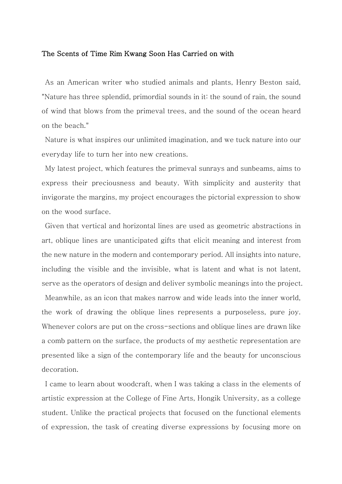## The Scents of Time Rim Kwang Soon Has Carried on with

As an American writer who studied animals and plants, Henry Beston said, "Nature has three splendid, primordial sounds in it: the sound of rain, the sound of wind that blows from the primeval trees, and the sound of the ocean heard on the beach."

Nature is what inspires our unlimited imagination, and we tuck nature into our everyday life to turn her into new creations.

My latest project, which features the primeval sunrays and sunbeams, aims to express their preciousness and beauty. With simplicity and austerity that invigorate the margins, my project encourages the pictorial expression to show on the wood surface.

Given that vertical and horizontal lines are used as geometric abstractions in art, oblique lines are unanticipated gifts that elicit meaning and interest from the new nature in the modern and contemporary period. All insights into nature, including the visible and the invisible, what is latent and what is not latent, serve as the operators of design and deliver symbolic meanings into the project.

Meanwhile, as an icon that makes narrow and wide leads into the inner world, the work of drawing the oblique lines represents a purposeless, pure joy. Whenever colors are put on the cross-sections and oblique lines are drawn like a comb pattern on the surface, the products of my aesthetic representation are presented like a sign of the contemporary life and the beauty for unconscious decoration.

I came to learn about woodcraft, when I was taking a class in the elements of artistic expression at the College of Fine Arts, Hongik University, as a college student. Unlike the practical projects that focused on the functional elements of expression, the task of creating diverse expressions by focusing more on